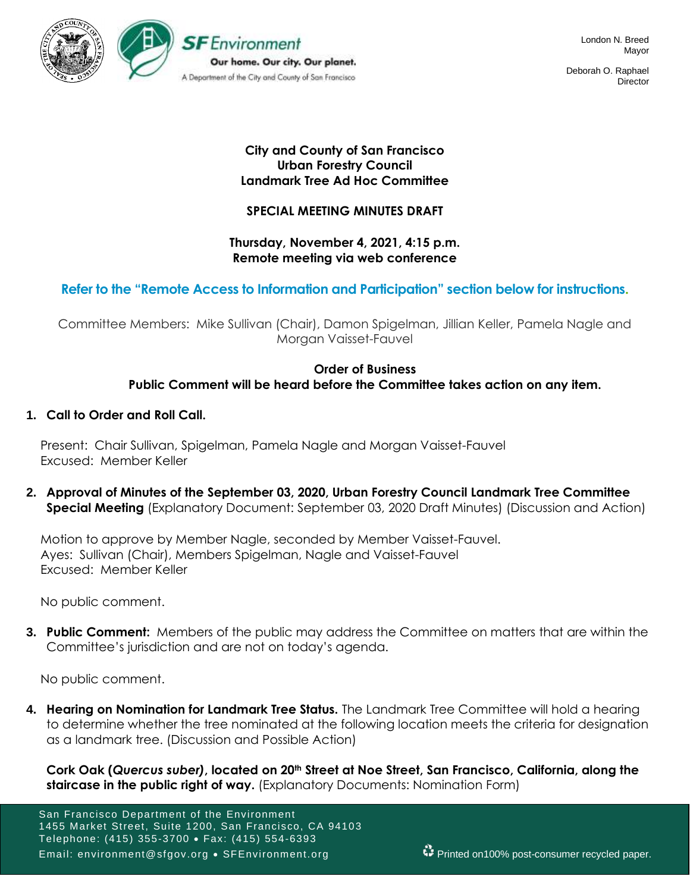

Deborah O. Raphael **Director** 

### **City and County of San Francisco Urban Forestry Council Landmark Tree Ad Hoc Committee**

## **SPECIAL MEETING MINUTES DRAFT**

### **Thursday, November 4, 2021, 4:15 p.m. Remote meeting via web conference**

## **Refer to the "Remote Access to Information and Participation" section below for instructions.**

Committee Members: Mike Sullivan (Chair), Damon Spigelman, Jillian Keller, Pamela Nagle and Morgan Vaisset-Fauvel

## **Order of Business Public Comment will be heard before the Committee takes action on any item.**

### **1. Call to Order and Roll Call.**

Present: Chair Sullivan, Spigelman, Pamela Nagle and Morgan Vaisset-Fauvel Excused: Member Keller

**2. Approval of Minutes of the September 03, 2020, Urban Forestry Council Landmark Tree Committee Special Meeting** (Explanatory Document: September 03, 2020 Draft Minutes) (Discussion and Action)

Motion to approve by Member Nagle, seconded by Member Vaisset-Fauvel. Ayes: Sullivan (Chair), Members Spigelman, Nagle and Vaisset-Fauvel Excused: Member Keller

No public comment.

**3. Public Comment:** Members of the public may address the Committee on matters that are within the Committee's jurisdiction and are not on today's agenda.

No public comment.

**4. Hearing on Nomination for Landmark Tree Status.** The Landmark Tree Committee will hold a hearing to determine whether the tree nominated at the following location meets the criteria for designation as a landmark tree. (Discussion and Possible Action)

**Cork Oak (***Quercus suber)***, located on 20th Street at Noe Street, San Francisco, California, along the staircase in the public right of way.** (Explanatory Documents: Nomination Form)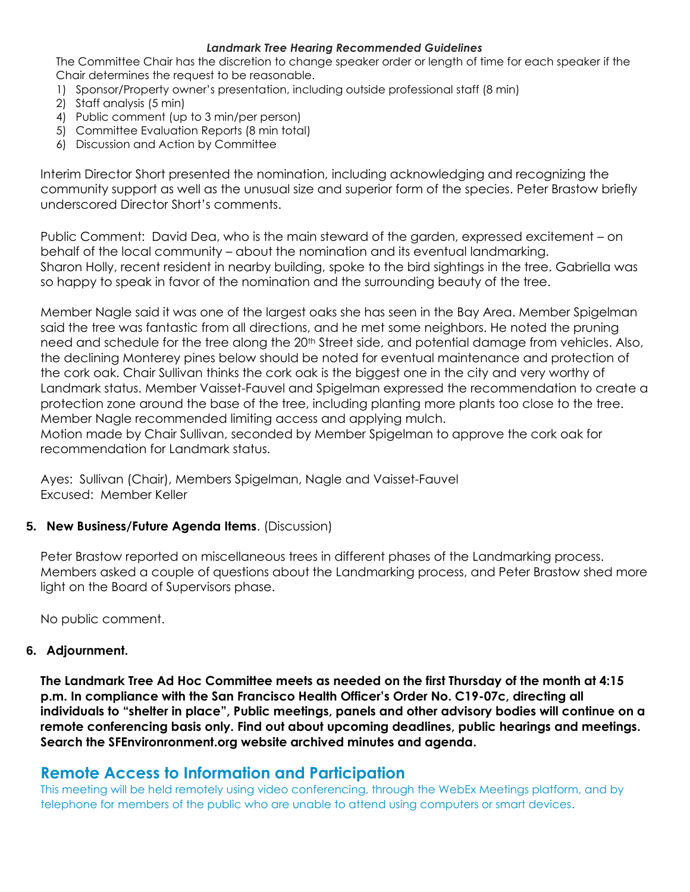#### *Landmark Tree Hearing Recommended Guidelines*

The Committee Chair has the discretion to change speaker order or length of time for each speaker if the Chair determines the request to be reasonable.

- 1) Sponsor/Property owner's presentation, including outside professional staff (8 min)
- 2) Staff analysis (5 min)
- 4) Public comment (up to 3 min/per person)
- 5) Committee Evaluation Reports (8 min total)
- 6) Discussion and Action by Committee

Interim Director Short presented the nomination, including acknowledging and recognizing the community support as well as the unusual size and superior form of the species. Peter Brastow briefly underscored Director Short's comments.

Public Comment: David Dea, who is the main steward of the garden, expressed excitement – on behalf of the local community – about the nomination and its eventual landmarking. Sharon Holly, recent resident in nearby building, spoke to the bird sightings in the tree. Gabriella was so happy to speak in favor of the nomination and the surrounding beauty of the tree.

Member Nagle said it was one of the largest oaks she has seen in the Bay Area. Member Spigelman said the tree was fantastic from all directions, and he met some neighbors. He noted the pruning need and schedule for the tree along the 20<sup>th</sup> Street side, and potential damage from vehicles. Also, the declining Monterey pines below should be noted for eventual maintenance and protection of the cork oak. Chair Sullivan thinks the cork oak is the biggest one in the city and very worthy of Landmark status. Member Vaisset-Fauvel and Spigelman expressed the recommendation to create a protection zone around the base of the tree, including planting more plants too close to the tree. Member Nagle recommended limiting access and applying mulch.

Motion made by Chair Sullivan, seconded by Member Spigelman to approve the cork oak for recommendation for Landmark status.

Ayes: Sullivan (Chair), Members Spigelman, Nagle and Vaisset-Fauvel Excused: Member Keller

### **5. New Business/Future Agenda Items**. (Discussion)

Peter Brastow reported on miscellaneous trees in different phases of the Landmarking process. Members asked a couple of questions about the Landmarking process, and Peter Brastow shed more light on the Board of Supervisors phase.

No public comment.

### **6. Adjournment.**

**The Landmark Tree Ad Hoc Committee meets as needed on the first Thursday of the month at 4:15 p.m. In compliance with the San Francisco Health Officer's Order No. C19-07c, directing all individuals to "shelter in place", Public meetings, panels and other advisory bodies will continue on a remote conferencing basis only. Find out about upcoming deadlines, public hearings and meetings. Search the SFEnvironronment.org website archived minutes and agenda.**

# **Remote Access to Information and Participation**

This meeting will be held remotely using video conferencing, through the WebEx Meetings platform, and by telephone for members of the public who are unable to attend using computers or smart devices.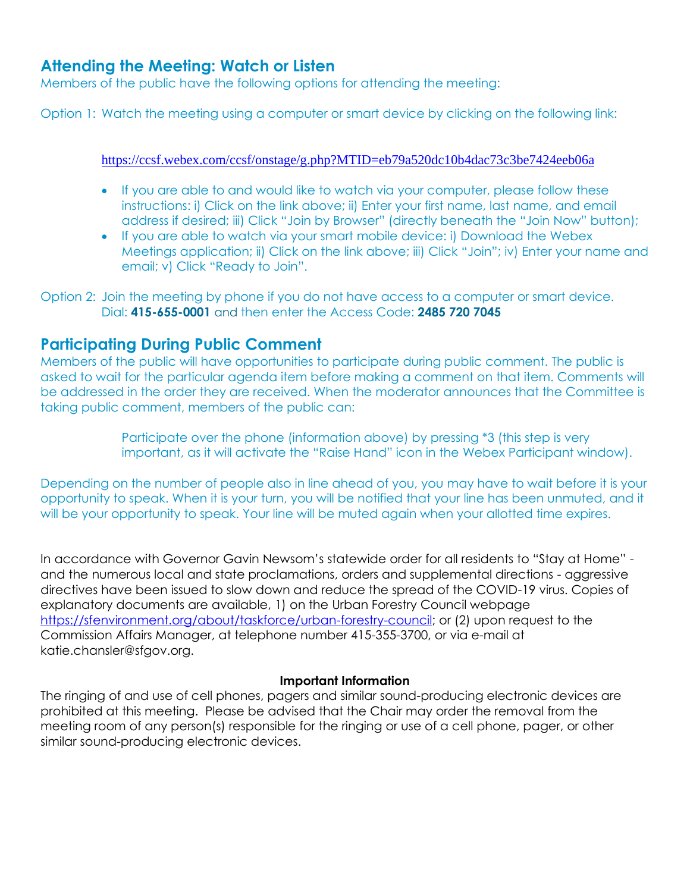# **Attending the Meeting: Watch or Listen**

Members of the public have the following options for attending the meeting:

Option 1: Watch the meeting using a computer or smart device by clicking on the following link:

<https://ccsf.webex.com/ccsf/onstage/g.php?MTID=eb79a520dc10b4dac73c3be7424eeb06a>

- If you are able to and would like to watch via your computer, please follow these instructions: i) Click on the link above; ii) Enter your first name, last name, and email address if desired; iii) Click "Join by Browser" (directly beneath the "Join Now" button);
- If you are able to watch via your smart mobile device: i) Download the Webex Meetings application; ii) Click on the link above; iii) Click "Join"; iv) Enter your name and email; v) Click "Ready to Join".

Option 2: Join the meeting by phone if you do not have access to a computer or smart device. Dial: **415-655-0001** and then enter the Access Code: **2485 720 7045**

# **Participating During Public Comment**

Members of the public will have opportunities to participate during public comment. The public is asked to wait for the particular agenda item before making a comment on that item. Comments will be addressed in the order they are received. When the moderator announces that the Committee is taking public comment, members of the public can:

> Participate over the phone (information above) by pressing \*3 (this step is very important, as it will activate the "Raise Hand" icon in the Webex Participant window).

Depending on the number of people also in line ahead of you, you may have to wait before it is your opportunity to speak. When it is your turn, you will be notified that your line has been unmuted, and it will be your opportunity to speak. Your line will be muted again when your allotted time expires.

In accordance with Governor Gavin Newsom's statewide order for all residents to "Stay at Home" and the numerous local and state proclamations, orders and supplemental directions - aggressive directives have been issued to slow down and reduce the spread of the COVID-19 virus. Copies of explanatory documents are available, 1) on the Urban Forestry Council webpage [https://sfenvironment.org/about/taskforce/urban-forestry-council;](https://sfenvironment.org/about/taskforce/urban-forestry-council) or (2) upon request to the Commission Affairs Manager, at telephone number 415-355-3700, or via e-mail at katie.chansler@sfgov.org.

### **Important Information**

The ringing of and use of cell phones, pagers and similar sound-producing electronic devices are prohibited at this meeting. Please be advised that the Chair may order the removal from the meeting room of any person(s) responsible for the ringing or use of a cell phone, pager, or other similar sound-producing electronic devices.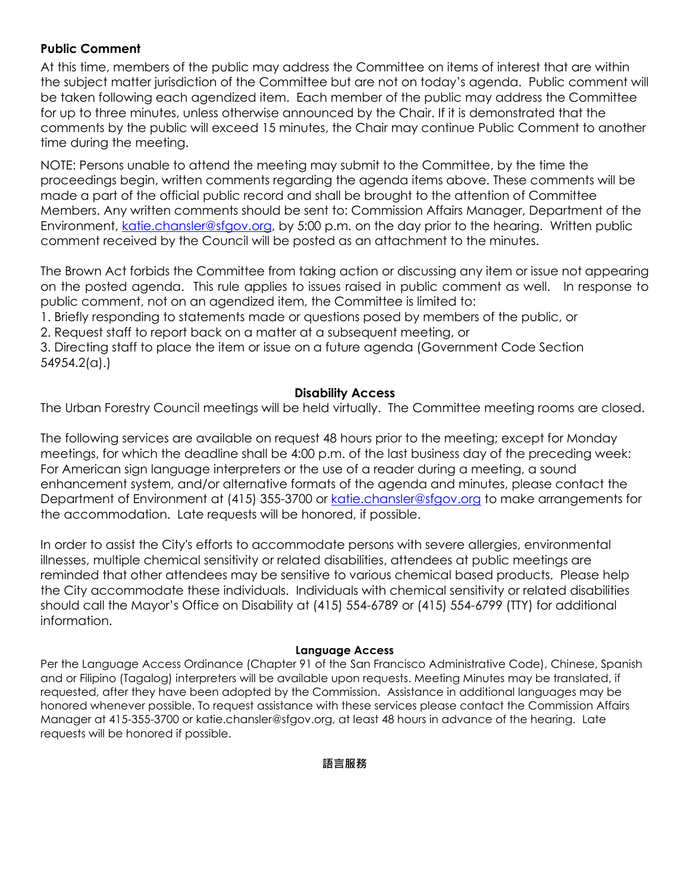### **Public Comment**

At this time, members of the public may address the Committee on items of interest that are within the subject matter jurisdiction of the Committee but are not on today's agenda. Public comment will be taken following each agendized item. Each member of the public may address the Committee for up to three minutes, unless otherwise announced by the Chair. If it is demonstrated that the comments by the public will exceed 15 minutes, the Chair may continue Public Comment to another time during the meeting.

NOTE: Persons unable to attend the meeting may submit to the Committee, by the time the proceedings begin, written comments regarding the agenda items above. These comments will be made a part of the official public record and shall be brought to the attention of Committee Members. Any written comments should be sent to: Commission Affairs Manager, Department of the Environment, [katie.chansler@sfgov.org,](mailto:katie.chansler@sfgov.org) by 5:00 p.m. on the day prior to the hearing. Written public comment received by the Council will be posted as an attachment to the minutes.

The Brown Act forbids the Committee from taking action or discussing any item or issue not appearing on the posted agenda. This rule applies to issues raised in public comment as well. In response to public comment, not on an agendized item, the Committee is limited to:

1. Briefly responding to statements made or questions posed by members of the public, or

2. Request staff to report back on a matter at a subsequent meeting, or

3. Directing staff to place the item or issue on a future agenda (Government Code Section 54954.2(a).)

### **Disability Access**

The Urban Forestry Council meetings will be held virtually. The Committee meeting rooms are closed.

The following services are available on request 48 hours prior to the meeting; except for Monday meetings, for which the deadline shall be 4:00 p.m. of the last business day of the preceding week: For American sign language interpreters or the use of a reader during a meeting, a sound enhancement system, and/or alternative formats of the agenda and minutes, please contact the Department of Environment at (415) 355-3700 or [katie.chansler@sfgov.org](mailto:katie.chansler@sfgov.org) to make arrangements for the accommodation. Late requests will be honored, if possible.

In order to assist the City's efforts to accommodate persons with severe allergies, environmental illnesses, multiple chemical sensitivity or related disabilities, attendees at public meetings are reminded that other attendees may be sensitive to various chemical based products. Please help the City accommodate these individuals. Individuals with chemical sensitivity or related disabilities should call the Mayor's Office on Disability at (415) 554-6789 or (415) 554-6799 (TTY) for additional information.

### **Language Access**

Per the Language Access Ordinance (Chapter 91 of the San Francisco Administrative Code), Chinese, Spanish and or Filipino (Tagalog) interpreters will be available upon requests. Meeting Minutes may be translated, if requested, after they have been adopted by the Commission. Assistance in additional languages may be honored whenever possible. To request assistance with these services please contact the Commission Affairs Manager at 415-355-3700 or katie.chansler@sfgov.org, at least 48 hours in advance of the hearing. Late requests will be honored if possible.

**語言服務**